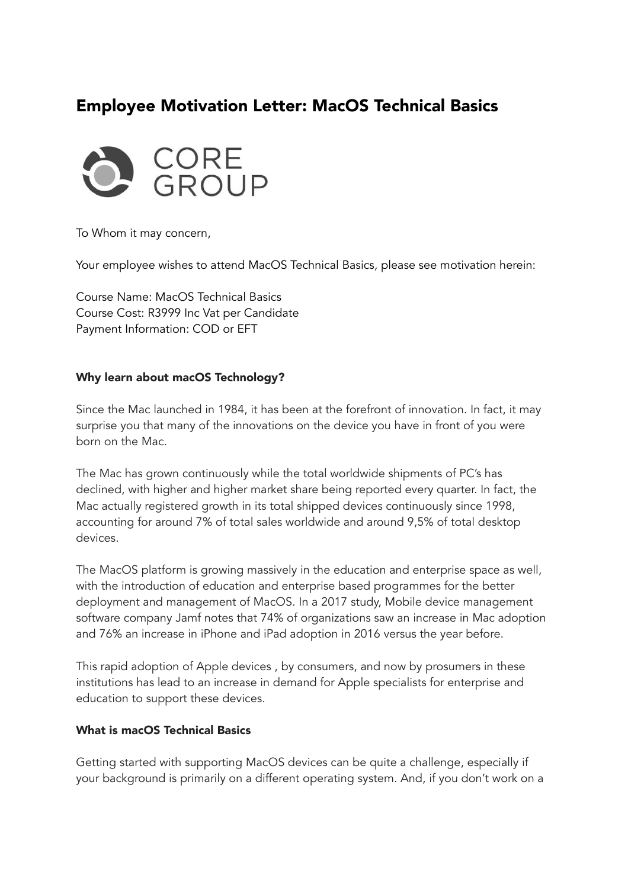# Employee Motivation Letter: MacOS Technical Basics



To Whom it may concern,

Your employee wishes to attend MacOS Technical Basics, please see motivation herein:

Course Name: MacOS Technical Basics Course Cost: R3999 Inc Vat per Candidate Payment Information: COD or EFT

#### Why learn about macOS Technology?

Since the Mac launched in 1984, it has been at the forefront of innovation. In fact, it may surprise you that many of the innovations on the device you have in front of you were born on the Mac.

The Mac has grown continuously while the total worldwide shipments of PC's has declined, with higher and higher market share being reported every quarter. In fact, the Mac actually registered growth in its total shipped devices continuously since 1998, accounting for around 7% of total sales worldwide and around 9,5% of total desktop devices.

The MacOS platform is growing massively in the education and enterprise space as well, with the introduction of education and enterprise based programmes for the better deployment and management of MacOS. In a 2017 study, Mobile device management software company Jamf notes that 74% of organizations saw an increase in Mac adoption and 76% an increase in iPhone and iPad adoption in 2016 versus the year before.

This rapid adoption of Apple devices , by consumers, and now by prosumers in these institutions has lead to an increase in demand for Apple specialists for enterprise and education to support these devices.

#### What is macOS Technical Basics

Getting started with supporting MacOS devices can be quite a challenge, especially if your background is primarily on a different operating system. And, if you don't work on a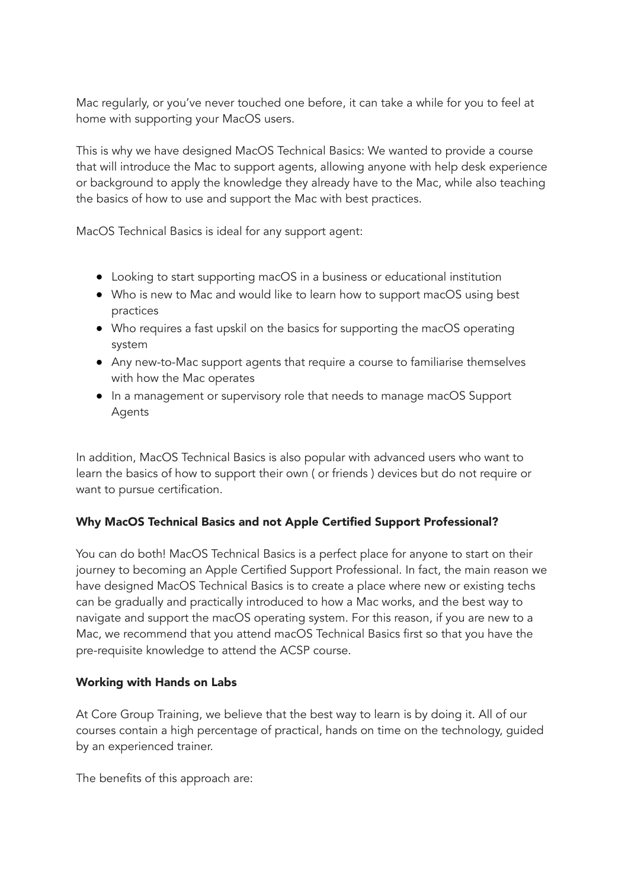Mac regularly, or you've never touched one before, it can take a while for you to feel at home with supporting your MacOS users.

This is why we have designed MacOS Technical Basics: We wanted to provide a course that will introduce the Mac to support agents, allowing anyone with help desk experience or background to apply the knowledge they already have to the Mac, while also teaching the basics of how to use and support the Mac with best practices.

MacOS Technical Basics is ideal for any support agent:

- Looking to start supporting macOS in a business or educational institution
- Who is new to Mac and would like to learn how to support macOS using best practices
- Who requires a fast upskil on the basics for supporting the macOS operating system
- Any new-to-Mac support agents that require a course to familiarise themselves with how the Mac operates
- In a management or supervisory role that needs to manage macOS Support Agents

In addition, MacOS Technical Basics is also popular with advanced users who want to learn the basics of how to support their own ( or friends ) devices but do not require or want to pursue certification.

# Why MacOS Technical Basics and not Apple Certified Support Professional?

You can do both! MacOS Technical Basics is a perfect place for anyone to start on their journey to becoming an Apple Certified Support Professional. In fact, the main reason we have designed MacOS Technical Basics is to create a place where new or existing techs can be gradually and practically introduced to how a Mac works, and the best way to navigate and support the macOS operating system. For this reason, if you are new to a Mac, we recommend that you attend macOS Technical Basics first so that you have the pre-requisite knowledge to attend the ACSP course.

# Working with Hands on Labs

At Core Group Training, we believe that the best way to learn is by doing it. All of our courses contain a high percentage of practical, hands on time on the technology, guided by an experienced trainer.

The benefits of this approach are: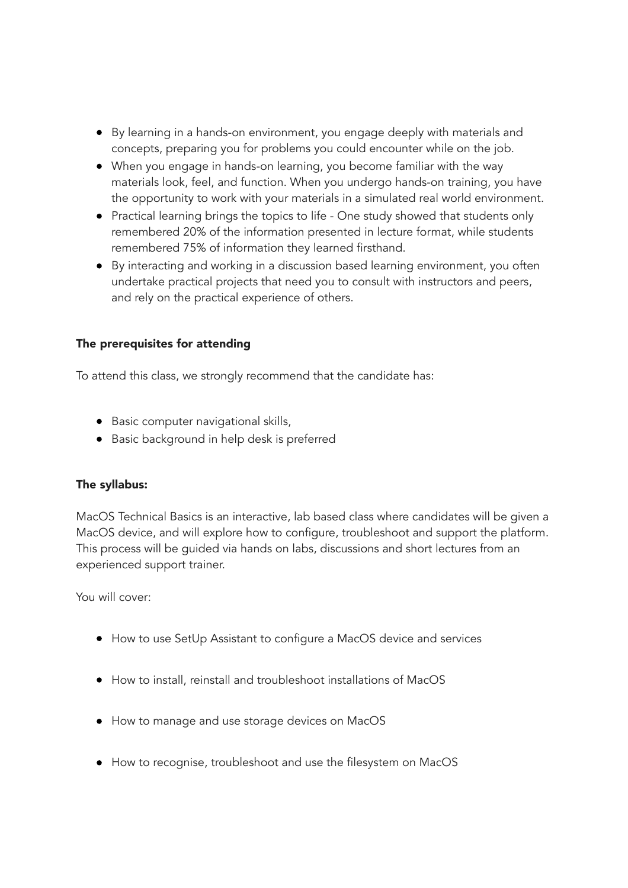- By learning in a hands-on environment, you engage deeply with materials and concepts, preparing you for problems you could encounter while on the job.
- When you engage in hands-on learning, you become familiar with the way materials look, feel, and function. When you undergo hands-on training, you have the opportunity to work with your materials in a simulated real world environment.
- Practical learning brings the topics to life One study showed that students only remembered 20% of the information presented in lecture format, while students remembered 75% of information they learned firsthand.
- By interacting and working in a discussion based learning environment, you often undertake practical projects that need you to consult with instructors and peers, and rely on the practical experience of others.

## The prerequisites for attending

To attend this class, we strongly recommend that the candidate has:

- Basic computer navigational skills,
- Basic background in help desk is preferred

## The syllabus:

MacOS Technical Basics is an interactive, lab based class where candidates will be given a MacOS device, and will explore how to configure, troubleshoot and support the platform. This process will be guided via hands on labs, discussions and short lectures from an experienced support trainer.

You will cover:

- How to use SetUp Assistant to configure a MacOS device and services
- How to install, reinstall and troubleshoot installations of MacOS
- How to manage and use storage devices on MacOS
- How to recognise, troubleshoot and use the filesystem on MacOS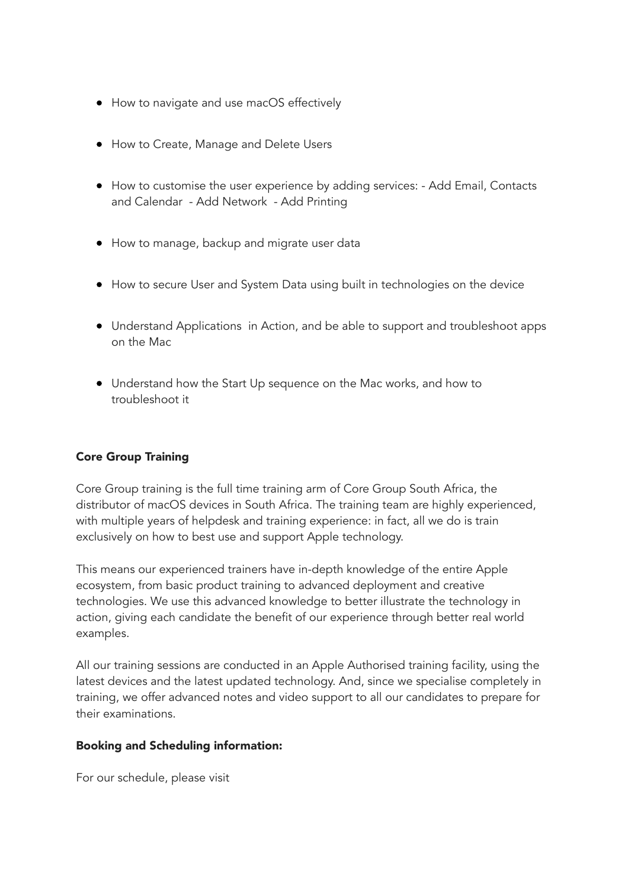- How to navigate and use macOS effectively
- How to Create, Manage and Delete Users
- How to customise the user experience by adding services: Add Email, Contacts and Calendar - Add Network - Add Printing
- How to manage, backup and migrate user data
- How to secure User and System Data using built in technologies on the device
- Understand Applications in Action, and be able to support and troubleshoot apps on the Mac
- Understand how the Start Up sequence on the Mac works, and how to troubleshoot it

## Core Group Training

Core Group training is the full time training arm of Core Group South Africa, the distributor of macOS devices in South Africa. The training team are highly experienced, with multiple years of helpdesk and training experience: in fact, all we do is train exclusively on how to best use and support Apple technology.

This means our experienced trainers have in-depth knowledge of the entire Apple ecosystem, from basic product training to advanced deployment and creative technologies. We use this advanced knowledge to better illustrate the technology in action, giving each candidate the benefit of our experience through better real world examples.

All our training sessions are conducted in an Apple Authorised training facility, using the latest devices and the latest updated technology. And, since we specialise completely in training, we offer advanced notes and video support to all our candidates to prepare for their examinations.

## Booking and Scheduling information:

For our schedule, please visit